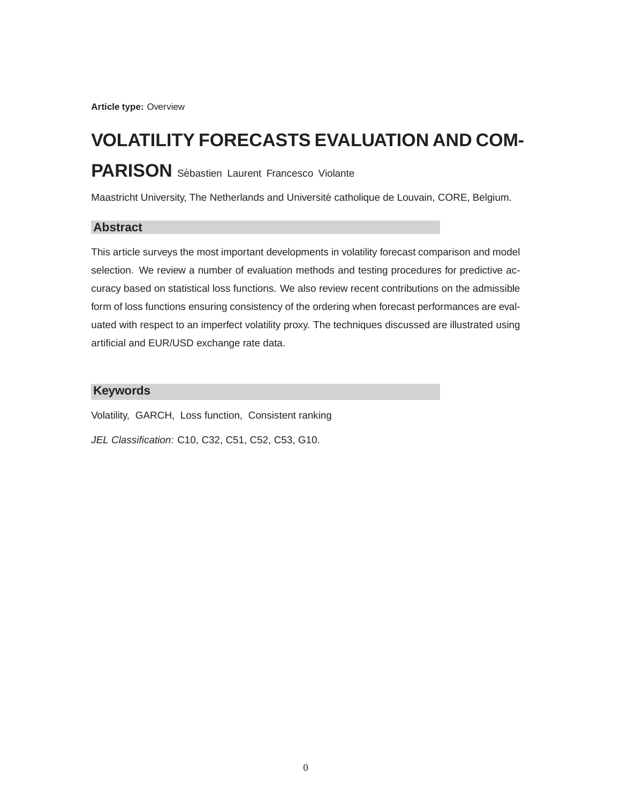**Article type:** Overview

# **VOLATILITY FORECASTS EVALUATION AND COM-**

## **PARISON** Sébastien Laurent Francesco Violante

Maastricht University, The Netherlands and Université catholique de Louvain, CORE, Belgium.

#### **Abstract**

This article surveys the most important developments in volatility forecast comparison and model selection. We review a number of evaluation methods and testing procedures for predictive accuracy based on statistical loss functions. We also review recent contributions on the admissible form of loss functions ensuring consistency of the ordering when forecast performances are evaluated with respect to an imperfect volatility proxy. The techniques discussed are illustrated using artificial and EUR/USD exchange rate data.

#### **Keywords**

Volatility, GARCH, Loss function, Consistent ranking JEL Classification: C10, C32, C51, C52, C53, G10.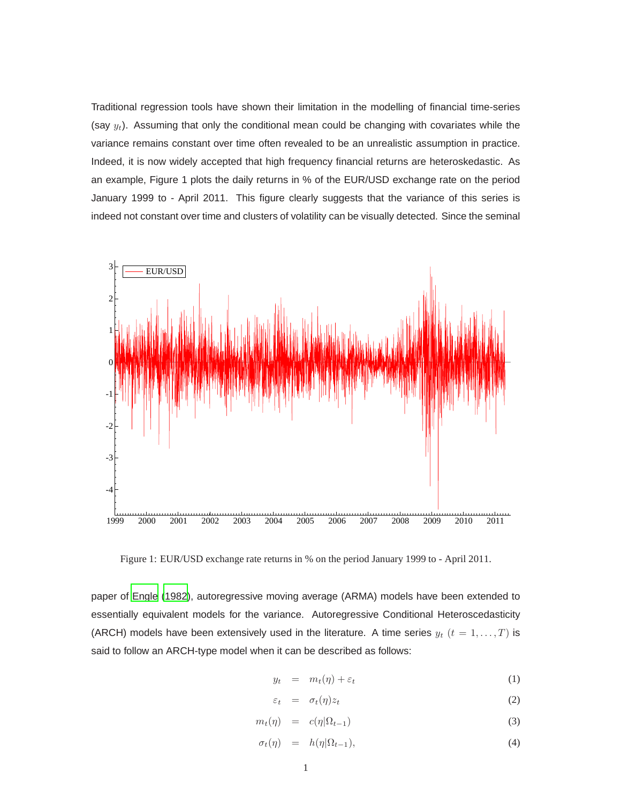Traditional regression tools have shown their limitation in the modelling of financial time-series (say  $y_t$ ). Assuming that only the conditional mean could be changing with covariates while the variance remains constant over time often revealed to be an unrealistic assumption in practice. Indeed, it is now widely accepted that high frequency financial returns are heteroskedastic. As an example, Figure 1 plots the daily returns in % of the EUR/USD exchange rate on the period January 1999 to - April 2011. This figure clearly suggests that the variance of this series is indeed not constant over time and clusters of volatility can be visually detected. Since the seminal



Figure 1: EUR/USD exchange rate returns in % on the period January 1999 to - April 2011.

paper of [Engle \(1982\)](#page-20-0), autoregressive moving average (ARMA) models have been extended to essentially equivalent models for the variance. Autoregressive Conditional Heteroscedasticity (ARCH) models have been extensively used in the literature. A time series  $y_t$   $(t = 1, ..., T)$  is said to follow an ARCH-type model when it can be described as follows:

<span id="page-1-0"></span>
$$
y_t = m_t(\eta) + \varepsilon_t \tag{1}
$$

$$
\varepsilon_t = \sigma_t(\eta) z_t \tag{2}
$$

$$
m_t(\eta) = c(\eta | \Omega_{t-1}) \tag{3}
$$

$$
\sigma_t(\eta) = h(\eta|\Omega_{t-1}), \qquad (4)
$$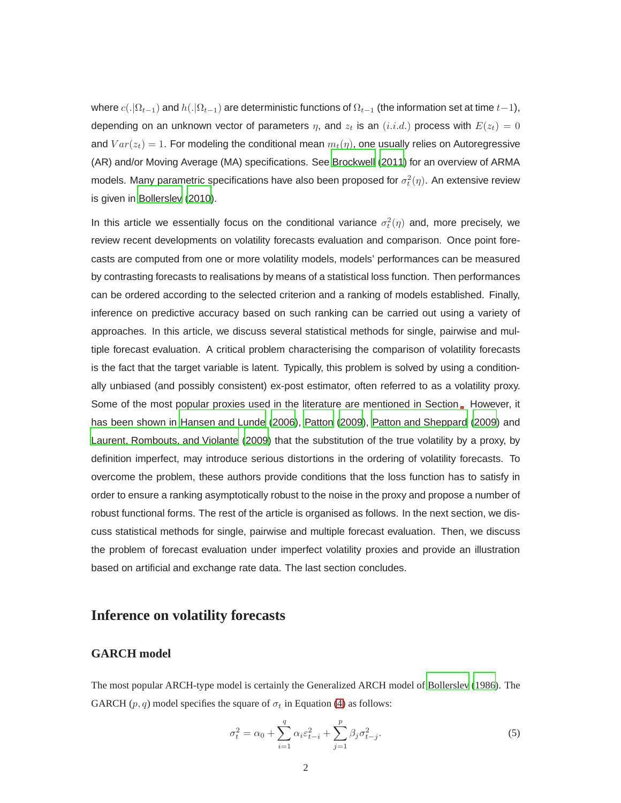where  $c(.|\Omega_{t-1})$  and  $h(.|\Omega_{t-1})$  are deterministic functions of  $\Omega_{t-1}$  (the information set at time  $t-1$ ), depending on an unknown vector of parameters  $\eta$ , and  $z_t$  is an  $(i.i.d.)$  process with  $E(z_t) = 0$ and  $Var(z_t) = 1$ . For modeling the conditional mean  $m_t(\eta)$ , one usually relies on Autoregressive (AR) and/or Moving Average (MA) specifications. See [Brockwell \(2011](#page-19-0)) for an overview of ARMA models. Many parametric specifications have also been proposed for  $\sigma_t^2(\eta)$ . An extensive review is given in [Bollerslev \(2010\)](#page-19-1).

In this article we essentially focus on the conditional variance  $\sigma_t^2(\eta)$  and, more precisely, we review recent developments on volatility forecasts evaluation and comparison. Once point forecasts are computed from one or more volatility models, models' performances can be measured by contrasting forecasts to realisations by means of a statistical loss function. Then performances can be ordered according to the selected criterion and a ranking of models established. Finally, inference on predictive accuracy based on such ranking can be carried out using a variety of approaches. In this article, we discuss several statistical methods for single, pairwise and multiple forecast evaluation. A critical problem characterising the comparison of volatility forecasts is the fact that the target variable is latent. Typically, this problem is solved by using a conditionally unbiased (and possibly consistent) ex-post estimator, often referred to as a volatility proxy. Some of the most popular proxies used in the literature are mentioned in Section [.](#page-8-0) However, it has been shown in [Hansen and Lunde \(2006\)](#page-20-1), [Patton](#page-21-0) [\(2009\)](#page-21-0), [Patton and Sheppard \(2009\)](#page-21-1) and [Laurent, Rombouts, and Violante \(2009](#page-21-2)) that the substitution of the true volatility by a proxy, by definition imperfect, may introduce serious distortions in the ordering of volatility forecasts. To overcome the problem, these authors provide conditions that the loss function has to satisfy in order to ensure a ranking asymptotically robust to the noise in the proxy and propose a number of robust functional forms. The rest of the article is organised as follows. In the next section, we discuss statistical methods for single, pairwise and multiple forecast evaluation. Then, we discuss the problem of forecast evaluation under imperfect volatility proxies and provide an illustration based on artificial and exchange rate data. The last section concludes.

### **Inference on volatility forecasts**

#### **GARCH model**

The most popular ARCH-type model is certainly the Generalized ARCH model of [Bollerslev \(1986\)](#page-19-2). The GARCH  $(p, q)$  model specifies the square of  $\sigma_t$  in Equation [\(4\)](#page-1-0) as follows:

$$
\sigma_t^2 = \alpha_0 + \sum_{i=1}^q \alpha_i \varepsilon_{t-i}^2 + \sum_{j=1}^p \beta_j \sigma_{t-j}^2.
$$
 (5)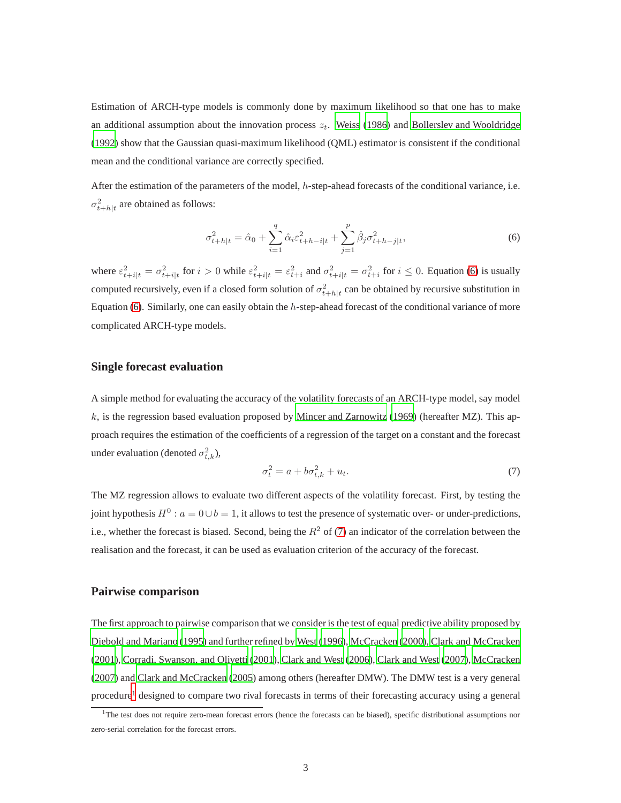Estimation of ARCH-type models is commonly done by maximum likelihood so that one has to make an additional assumption about the innovation process  $z_t$ . [Weiss](#page-21-3) [\(1986\)](#page-21-3) and [Bollerslev and Wooldridge](#page-19-3) [\(1992\)](#page-19-3) show that the Gaussian quasi-maximum likelihood (QML) estimator is consistent if the conditional mean and the conditional variance are correctly specified.

After the estimation of the parameters of the model, h-step-ahead forecasts of the conditional variance, i.e.  $\sigma_{t+h|t}^2$  are obtained as follows:

<span id="page-3-0"></span>
$$
\sigma_{t+h|t}^2 = \hat{\alpha}_0 + \sum_{i=1}^q \hat{\alpha}_i \varepsilon_{t+h-i|t}^2 + \sum_{j=1}^p \hat{\beta}_j \sigma_{t+h-j|t}^2,
$$
\n(6)

where  $\varepsilon_{t+i|t}^2 = \sigma_{t+i|t}^2$  for  $i > 0$  while  $\varepsilon_{t+i|t}^2 = \varepsilon_{t+i}^2$  and  $\sigma_{t+i|t}^2 = \sigma_{t+i}^2$  for  $i \le 0$ . Equation [\(6\)](#page-3-0) is usually computed recursively, even if a closed form solution of  $\sigma_{t+h|t}^2$  can be obtained by recursive substitution in Equation [\(6\)](#page-3-0). Similarly, one can easily obtain the  $h$ -step-ahead forecast of the conditional variance of more complicated ARCH-type models.

#### **Single forecast evaluation**

A simple method for evaluating the accuracy of the volatility forecasts of an ARCH-type model, say model  $k$ , is the regression based evaluation proposed by [Mincer and Zarnowitz](#page-21-4) [\(1969\)](#page-21-4) (hereafter MZ). This approach requires the estimation of the coefficients of a regression of the target on a constant and the forecast under evaluation (denoted  $\sigma_{t,k}^2$ ),

<span id="page-3-1"></span>
$$
\sigma_t^2 = a + b\sigma_{t,k}^2 + u_t. \tag{7}
$$

The MZ regression allows to evaluate two different aspects of the volatility forecast. First, by testing the joint hypothesis  $H^0$ :  $a = 0 \cup b = 1$ , it allows to test the presence of systematic over- or under-predictions, i.e., whether the forecast is biased. Second, being the  $R^2$  of [\(7\)](#page-3-1) an indicator of the correlation between the realisation and the forecast, it can be used as evaluation criterion of the accuracy of the forecast.

#### **Pairwise comparison**

The first approach to pairwise comparison that we consider is the test of equal predictive ability proposed by [Diebold and Mariano](#page-20-2) [\(1995\)](#page-20-2) and further refined by [West \(1996\)](#page-21-5), [McCracken \(2000](#page-21-6)), [Clark and McCracken](#page-19-4) [\(2001\)](#page-19-4), [Corradi, Swanson, and Olivetti](#page-20-3) [\(2001\)](#page-20-3), [Clark and West \(2006](#page-20-4)), [Clark and West](#page-20-5) [\(2007\)](#page-20-5), [McCracken](#page-21-7) [\(2007\)](#page-21-7) and [Clark and McCracken \(2005](#page-19-5)) among others (hereafter DMW). The DMW test is a very general procedure<sup>[1](#page-3-2)</sup> designed to compare two rival forecasts in terms of their forecasting accuracy using a general

<span id="page-3-2"></span><sup>&</sup>lt;sup>1</sup>The test does not require zero-mean forecast errors (hence the forecasts can be biased), specific distributional assumptions nor zero-serial correlation for the forecast errors.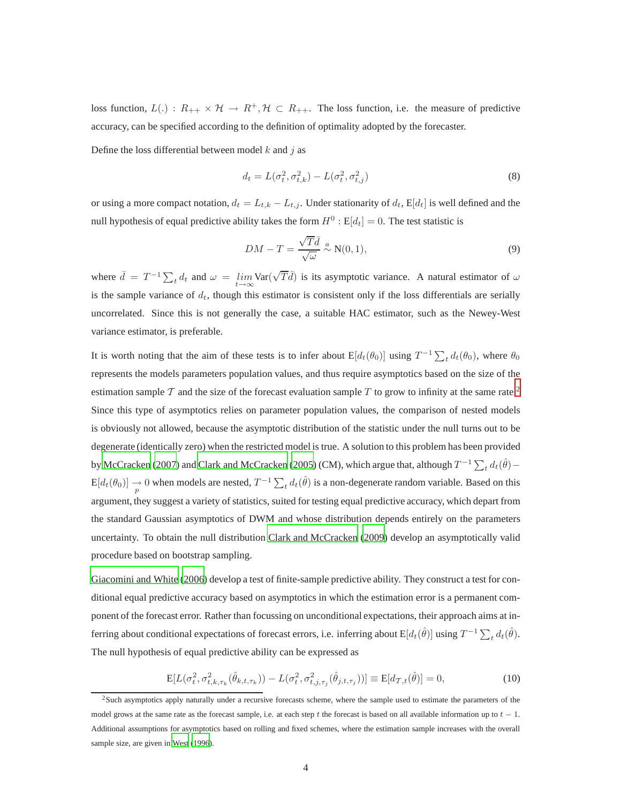loss function,  $L(.)$ :  $R_{++} \times H \rightarrow R^+, H \subset R_{++}$ . The loss function, i.e. the measure of predictive accuracy, can be specified according to the definition of optimality adopted by the forecaster.

Define the loss differential between model  $k$  and  $j$  as

$$
d_t = L(\sigma_t^2, \sigma_{t,k}^2) - L(\sigma_t^2, \sigma_{t,j}^2)
$$
\n
$$
(8)
$$

or using a more compact notation,  $d_t = L_{t,k} - L_{t,j}$ . Under stationarity of  $d_t$ ,  $E[d_t]$  is well defined and the null hypothesis of equal predictive ability takes the form  $H^0: \mathrm{E}[d_t] = 0.$  The test statistic is

$$
DM - T = \frac{\sqrt{T}\bar{d}}{\sqrt{\omega}} \stackrel{a}{\sim} \mathcal{N}(0, 1),\tag{9}
$$

where  $\bar{d} = T^{-1} \sum_t d_t$  and  $\omega = \lim_{t \to \infty} \text{Var}(\sqrt{T} \bar{d})$  is its asymptotic variance. A natural estimator of  $\omega$ is the sample variance of  $d_t$ , though this estimator is consistent only if the loss differentials are serially uncorrelated. Since this is not generally the case, a suitable HAC estimator, such as the Newey-West variance estimator, is preferable.

It is worth noting that the aim of these tests is to infer about  $E[d_t(\theta_0)]$  using  $T^{-1}\sum_t d_t(\theta_0)$ , where  $\theta_0$ represents the models parameters population values, and thus require asymptotics based on the size of the estimation sample  $T$  and the size of the forecast evaluation sample  $T$  to grow to infinity at the same rate.<sup>[2](#page-4-0)</sup> Since this type of asymptotics relies on parameter population values, the comparison of nested models is obviously not allowed, because the asymptotic distribution of the statistic under the null turns out to be degenerate (identically zero) when the restricted model is true. A solution to this problem has been provided by [McCracken](#page-21-7) [\(2007\)](#page-21-7) and [Clark and McCracken \(2005\)](#page-19-5) (CM), which argue that, although  $T^{-1}\sum_t d_t(\hat{\theta}) E[d_t(\theta_0)] \to 0$  when models are nested,  $T^{-1} \sum_t d_t(\hat{\theta})$  is a non-degenerate random variable. Based on this argument, they suggest a variety of statistics, suited for testing equal predictive accuracy, which depart from the standard Gaussian asymptotics of DWM and whose distribution depends entirely on the parameters uncertainty. To obtain the null distribution [Clark and McCracken \(2009\)](#page-20-6) develop an asymptotically valid procedure based on bootstrap sampling.

[Giacomini and White \(2006](#page-20-7)) develop a test of finite-sample predictive ability. They construct a test for conditional equal predictive accuracy based on asymptotics in which the estimation error is a permanent component of the forecast error. Rather than focussing on unconditional expectations, their approach aims at inferring about conditional expectations of forecast errors, i.e. inferring about  $\mathrm{E}[d_t(\hat{\theta})]$  using  $T^{-1}\sum_t d_t(\hat{\theta})$ . The null hypothesis of equal predictive ability can be expressed as

<span id="page-4-1"></span>
$$
E[L(\sigma_t^2, \sigma_{t,k,\tau_k}^2(\hat{\theta}_{k,t,\tau_k})) - L(\sigma_t^2, \sigma_{t,j,\tau_j}^2(\hat{\theta}_{j,t,\tau_j}))] \equiv E[d_{\mathcal{T},t}(\hat{\theta})] = 0,
$$
\n(10)

<span id="page-4-0"></span><sup>&</sup>lt;sup>2</sup>Such asymptotics apply naturally under a recursive forecasts scheme, where the sample used to estimate the parameters of the model grows at the same rate as the forecast sample, i.e. at each step t the forecast is based on all available information up to  $t - 1$ . Additional assumptions for asymptotics based on rolling and fixed schemes, where the estimation sample increases with the overall sample size, are given in [West \(1996\)](#page-21-5).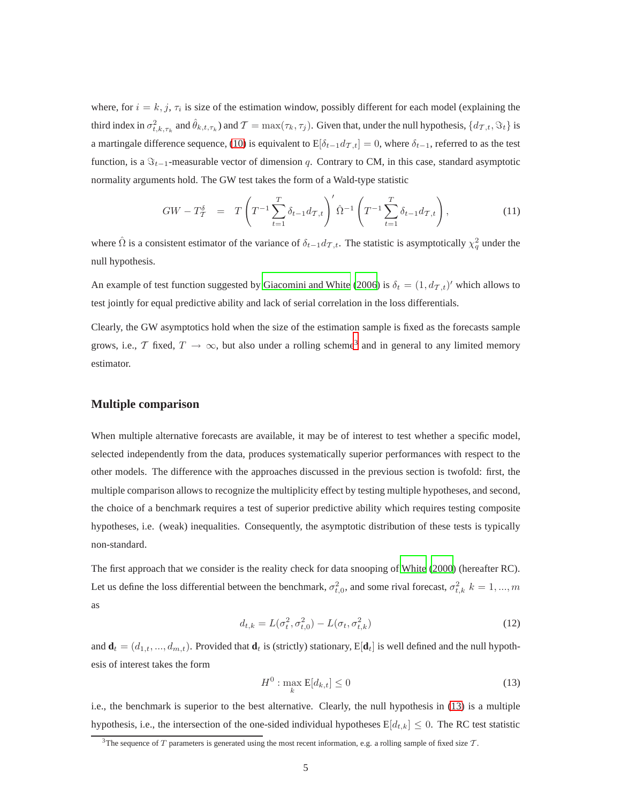where, for  $i = k, j, \tau_i$  is size of the estimation window, possibly different for each model (explaining the third index in  $\sigma_{t,k,\tau_k}^2$  and  $\hat{\theta}_{k,t,\tau_k}$ ) and  $\mathcal{T} = \max(\tau_k, \tau_j)$ . Given that, under the null hypothesis,  $\{d_{\mathcal{T},t}, \Im_t\}$  is a martingale difference sequence, [\(10\)](#page-4-1) is equivalent to  $E[\delta_{t-1}d_{T,t}] = 0$ , where  $\delta_{t-1}$ , referred to as the test function, is a  $\Im_{t-1}$ -measurable vector of dimension q. Contrary to CM, in this case, standard asymptotic normality arguments hold. The GW test takes the form of a Wald-type statistic

$$
GW - T_7^{\delta} = T \left( T^{-1} \sum_{t=1}^{T} \delta_{t-1} d_{T,t} \right)' \hat{\Omega}^{-1} \left( T^{-1} \sum_{t=1}^{T} \delta_{t-1} d_{T,t} \right), \tag{11}
$$

where  $\hat{\Omega}$  is a consistent estimator of the variance of  $\delta_{t-1}d_{T,t}$ . The statistic is asymptotically  $\chi_q^2$  under the null hypothesis.

An example of test function suggested by [Giacomini and White](#page-20-7) [\(2006\)](#page-20-7) is  $\delta_t = (1, d_{\mathcal{T},t})'$  which allows to test jointly for equal predictive ability and lack of serial correlation in the loss differentials.

Clearly, the GW asymptotics hold when the size of the estimation sample is fixed as the forecasts sample grows, i.e., T fixed,  $T \to \infty$ , but also under a rolling scheme<sup>[3](#page-5-0)</sup> and in general to any limited memory estimator.

#### **Multiple comparison**

When multiple alternative forecasts are available, it may be of interest to test whether a specific model, selected independently from the data, produces systematically superior performances with respect to the other models. The difference with the approaches discussed in the previous section is twofold: first, the multiple comparison allows to recognize the multiplicity effect by testing multiple hypotheses, and second, the choice of a benchmark requires a test of superior predictive ability which requires testing composite hypotheses, i.e. (weak) inequalities. Consequently, the asymptotic distribution of these tests is typically non-standard.

The first approach that we consider is the reality check for data snooping of [White](#page-22-0) [\(2000\)](#page-22-0) (hereafter RC). Let us define the loss differential between the benchmark,  $\sigma_{t,0}^2$ , and some rival forecast,  $\sigma_{t,k}^2$   $k = 1, ..., m$ as

$$
d_{t,k} = L(\sigma_t^2, \sigma_{t,0}^2) - L(\sigma_t, \sigma_{t,k}^2)
$$
\n(12)

and  $\mathbf{d}_t = (d_{1,t}, ..., d_{m,t})$ . Provided that  $\mathbf{d}_t$  is (strictly) stationary,  $E[\mathbf{d}_t]$  is well defined and the null hypothesis of interest takes the form

<span id="page-5-1"></span>
$$
H^0: \max_k \mathbf{E}[d_{k,t}] \le 0 \tag{13}
$$

i.e., the benchmark is superior to the best alternative. Clearly, the null hypothesis in [\(13\)](#page-5-1) is a multiple hypothesis, i.e., the intersection of the one-sided individual hypotheses  $E[d_{t,k}] \leq 0$ . The RC test statistic

<span id="page-5-0"></span><sup>&</sup>lt;sup>3</sup>The sequence of T parameters is generated using the most recent information, e.g. a rolling sample of fixed size T.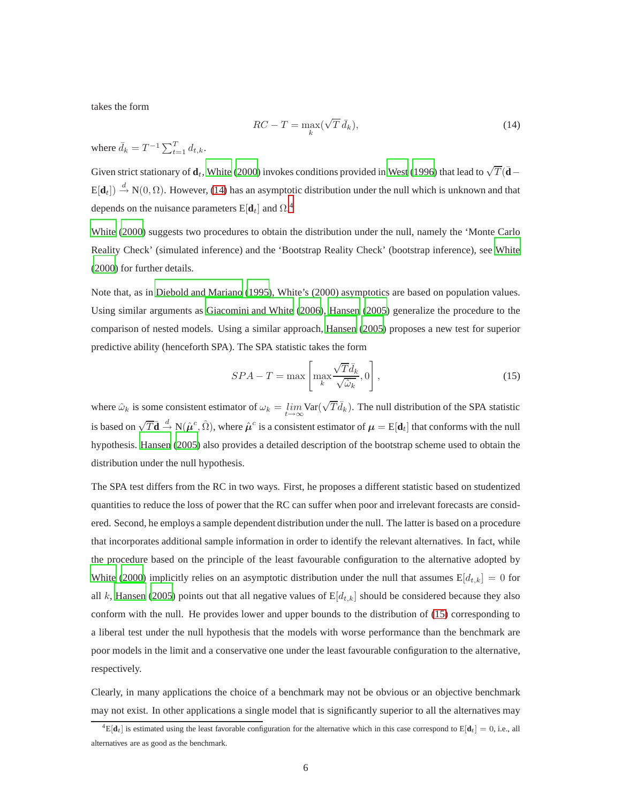takes the form

<span id="page-6-0"></span>
$$
RC - T = \max_{k} (\sqrt{T} \,\bar{d}_k),\tag{14}
$$

where  $\bar{d}_k = T^{-1} \sum_{t=1}^T d_{t,k}$ .

Given strict stationary of  $\mathbf{d}_t$ , [White \(2000\)](#page-22-0) invokes conditions provided in [West \(1996\)](#page-21-5) that lead to  $\sqrt{T}(\mathbf{\bar d} E[\mathbf{d}_t]$ )  $\stackrel{d}{\rightarrow} N(0,\Omega)$ . However, [\(14\)](#page-6-0) has an asymptotic distribution under the null which is unknown and that depends on the nuisance parameters  $E[\mathbf{d}_t]$  and  $\Omega$ <sup>[4](#page-6-1)</sup>.

[White](#page-22-0) [\(2000\)](#page-22-0) suggests two procedures to obtain the distribution under the null, namely the 'Monte Carlo Reality Check' (simulated inference) and the 'Bootstrap Reality Check' (bootstrap inference), see [White](#page-22-0) [\(2000\)](#page-22-0) for further details.

Note that, as in [Diebold and Mariano \(1995\)](#page-20-2), White's (2000) asymptotics are based on population values. Using similar arguments as [Giacomini and White \(2006\)](#page-20-7), [Hansen \(2005](#page-20-8)) generalize the procedure to the comparison of nested models. Using a similar approach, [Hansen](#page-20-8) [\(2005\)](#page-20-8) proposes a new test for superior predictive ability (henceforth SPA). The SPA statistic takes the form

<span id="page-6-2"></span>
$$
SPA - T = \max\left[\max_{k} \frac{\sqrt{T}\bar{d}_k}{\sqrt{\hat{\omega}_k}}, 0\right],\tag{15}
$$

where  $\hat{\omega}_k$  is some consistent estimator of  $\omega_k = \lim_{t \to \infty} \text{Var}(\sqrt{T} \overline{d}_k)$ . The null distribution of the SPA statistic is based on  $\sqrt{T}\bar{\mathbf{d}}\stackrel{d}{\to}\text{N}(\hat{\boldsymbol{\mu}}^c,\hat{\Omega}),$  where  $\hat{\boldsymbol{\mu}}^c$  is a consistent estimator of  $\boldsymbol{\mu}=\text{E}[\mathbf{d}_t]$  that conforms with the null hypothesis. [Hansen \(2005\)](#page-20-8) also provides a detailed description of the bootstrap scheme used to obtain the distribution under the null hypothesis.

The SPA test differs from the RC in two ways. First, he proposes a different statistic based on studentized quantities to reduce the loss of power that the RC can suffer when poor and irrelevant forecasts are considered. Second, he employs a sample dependent distribution under the null. The latter is based on a procedure that incorporates additional sample information in order to identify the relevant alternatives. In fact, while the procedure based on the principle of the least favourable configuration to the alternative adopted by [White \(2000\)](#page-22-0) implicitly relies on an asymptotic distribution under the null that assumes  $E[d_{t,k}] = 0$  for all k, [Hansen \(2005\)](#page-20-8) points out that all negative values of  $E[d_{t,k}]$  should be considered because they also conform with the null. He provides lower and upper bounds to the distribution of [\(15\)](#page-6-2) corresponding to a liberal test under the null hypothesis that the models with worse performance than the benchmark are poor models in the limit and a conservative one under the least favourable configuration to the alternative, respectively.

Clearly, in many applications the choice of a benchmark may not be obvious or an objective benchmark may not exist. In other applications a single model that is significantly superior to all the alternatives may

<span id="page-6-1"></span> ${}^4E[\mathbf{d}_t]$  is estimated using the least favorable configuration for the alternative which in this case correspond to  $E[\mathbf{d}_t] = 0$ , i.e., all alternatives are as good as the benchmark.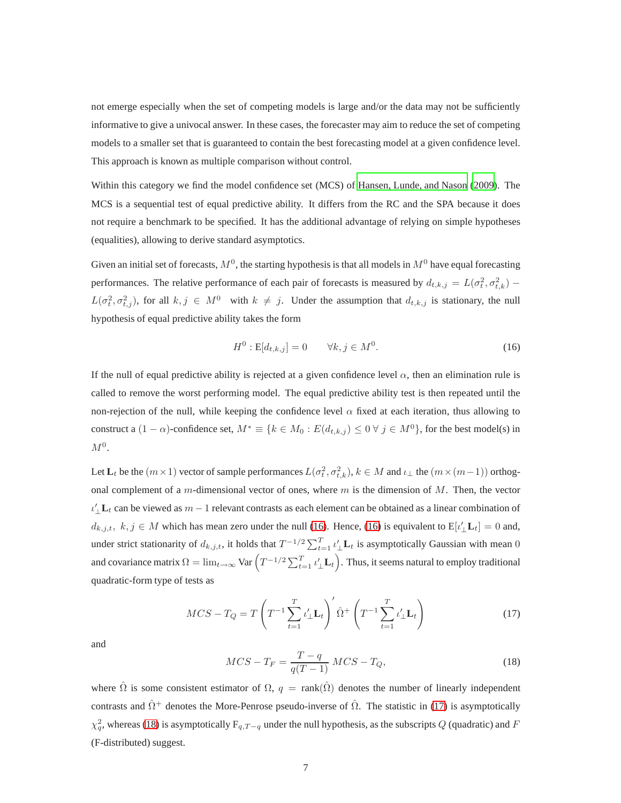not emerge especially when the set of competing models is large and/or the data may not be sufficiently informative to give a univocal answer. In these cases, the forecaster may aim to reduce the set of competing models to a smaller set that is guaranteed to contain the best forecasting model at a given confidence level. This approach is known as multiple comparison without control.

Within this category we find the model confidence set (MCS) of [Hansen, Lunde, and Nason \(2009](#page-21-8)). The MCS is a sequential test of equal predictive ability. It differs from the RC and the SPA because it does not require a benchmark to be specified. It has the additional advantage of relying on simple hypotheses (equalities), allowing to derive standard asymptotics.

Given an initial set of forecasts,  $M^0$ , the starting hypothesis is that all models in  $M^0$  have equal forecasting performances. The relative performance of each pair of forecasts is measured by  $d_{t,k,j} = L(\sigma_t^2, \sigma_{t,k}^2)$  –  $L(\sigma_t^2, \sigma_{t,j}^2)$ , for all  $k, j \in M^0$  with  $k \neq j$ . Under the assumption that  $d_{t,k,j}$  is stationary, the null hypothesis of equal predictive ability takes the form

<span id="page-7-0"></span>
$$
H^{0}: \mathbf{E}[d_{t,k,j}] = 0 \qquad \forall k, j \in M^{0}.
$$
 (16)

If the null of equal predictive ability is rejected at a given confidence level  $\alpha$ , then an elimination rule is called to remove the worst performing model. The equal predictive ability test is then repeated until the non-rejection of the null, while keeping the confidence level  $\alpha$  fixed at each iteration, thus allowing to construct a  $(1 - \alpha)$ -confidence set,  $M^* \equiv \{k \in M_0 : E(d_{t,k,j}) \leq 0 \ \forall \ j \in M^0 \}$ , for the best model(s) in  $M^0$ .

Let  $L_t$  be the  $(m \times 1)$  vector of sample performances  $L(\sigma_t^2, \sigma_{t,k}^2), k \in M$  and  $\iota_{\perp}$  the  $(m \times (m-1))$  orthogonal complement of a m-dimensional vector of ones, where m is the dimension of  $M$ . Then, the vector  $\iota'_{\perp}$ **L**<sub>t</sub> can be viewed as  $m-1$  relevant contrasts as each element can be obtained as a linear combination of  $d_{k,j,t}, k, j \in M$  which has mean zero under the null [\(16\)](#page-7-0). Hence, [\(16\)](#page-7-0) is equivalent to  $E[i'_\perp \mathbf{L}_t] = 0$  and, under strict stationarity of  $d_{k,j,t}$ , it holds that  $T^{-1/2} \sum_{t=1}^{T} \iota'_{\perp} \mathbf{L}_t$  is asymptotically Gaussian with mean 0 and covariance matrix  $\Omega = \lim_{t\to\infty} \text{Var}\left(T^{-1/2}\sum_{t=1}^T \iota'_\perp \mathbf{L}_t\right)$ . Thus, it seems natural to employ traditional quadratic-form type of tests as

<span id="page-7-1"></span>
$$
MCS - T_Q = T\left(T^{-1}\sum_{t=1}^T \iota'_\perp \mathbf{L}_t\right)' \hat{\Omega}^+ \left(T^{-1}\sum_{t=1}^T \iota'_\perp \mathbf{L}_t\right)
$$
(17)

and

<span id="page-7-2"></span>
$$
MCS - T_F = \frac{T - q}{q(T - 1)} \, MCS - T_Q,\tag{18}
$$

where  $\hat{\Omega}$  is some consistent estimator of  $\Omega$ ,  $q = \text{rank}(\hat{\Omega})$  denotes the number of linearly independent contrasts and  $\hat{\Omega}^+$  denotes the More-Penrose pseudo-inverse of  $\hat{\Omega}$ . The statistic in [\(17\)](#page-7-1) is asymptotically  $\chi_q^2$ , whereas [\(18\)](#page-7-2) is asymptotically  $F_{q,T-q}$  under the null hypothesis, as the subscripts Q (quadratic) and F (F-distributed) suggest.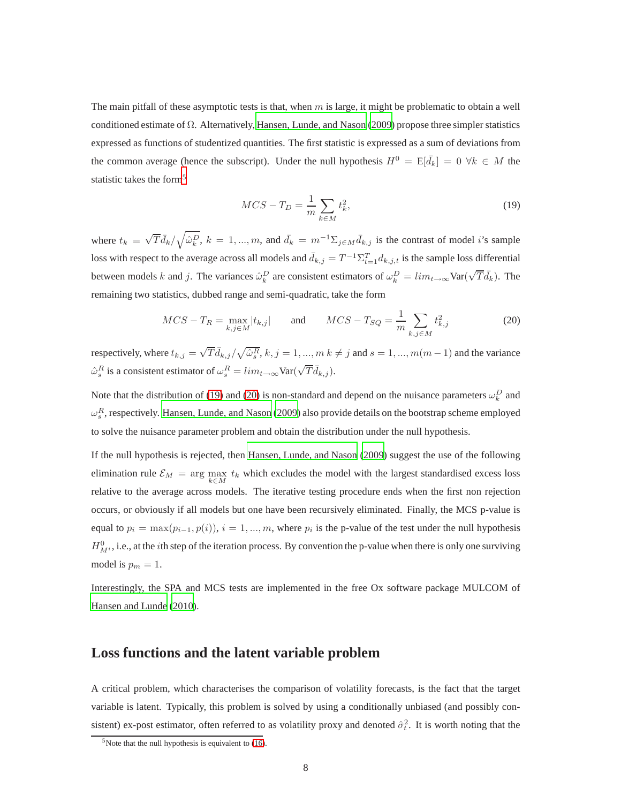The main pitfall of these asymptotic tests is that, when  $m$  is large, it might be problematic to obtain a well conditioned estimate of  $\Omega$ . Alternatively, [Hansen, Lunde, and Nason \(2009](#page-21-8)) propose three simpler statistics expressed as functions of studentized quantities. The first statistic is expressed as a sum of deviations from the common average (hence the subscript). Under the null hypothesis  $H^0 = E[\bar{d}_k] = 0 \ \forall k \in M$  the statistic takes the form<sup>[5](#page-8-1)</sup>

<span id="page-8-2"></span>
$$
MCS - T_D = \frac{1}{m} \sum_{k \in M} t_k^2,
$$
\n(19)

where  $t_k = \sqrt{T} \bar{d}_k / \sqrt{\hat{\omega}_k^D}$ ,  $k = 1, ..., m$ , and  $\bar{d}_k = m^{-1} \Sigma_{j \in M} \bar{d}_{k,j}$  is the contrast of model *i*'s sample loss with respect to the average across all models and  $\bar{d}_{k,j} = T^{-1} \Sigma_{t=1}^T d_{k,j,t}$  is the sample loss differential between models k and j. The variances  $\hat{\omega}_k^D$  are consistent estimators of  $\omega_k^D = lim_{t\to\infty} \text{Var}(\sqrt{T} \bar{d}_k)$ . The remaining two statistics, dubbed range and semi-quadratic, take the form

<span id="page-8-3"></span>
$$
MCS - T_R = \max_{k,j \in M} |t_{k,j}| \quad \text{and} \quad MCS - T_{SQ} = \frac{1}{m} \sum_{k,j \in M} t_{k,j}^2 \tag{20}
$$

respectively, where  $t_{k,j} = \sqrt{T} \bar{d}_{k,j}/\sqrt{\hat{\omega}_s^R}$ ,  $k, j = 1, ..., m$   $k \neq j$  and  $s = 1, ..., m(m-1)$  and the variance  $\hat{\omega}_s^R$  is a consistent estimator of  $\omega_s^R = lim_{t\to\infty} \text{Var}(\sqrt{T}\bar{d}_{k,j}).$ 

Note that the distribution of [\(19\)](#page-8-2) and [\(20\)](#page-8-3) is non-standard and depend on the nuisance parameters  $\omega_k^D$  and  $\omega_s^R$ , respectively. [Hansen, Lunde, and Nason \(2009](#page-21-8)) also provide details on the bootstrap scheme employed to solve the nuisance parameter problem and obtain the distribution under the null hypothesis.

If the null hypothesis is rejected, then [Hansen, Lunde, and Nason \(2009\)](#page-21-8) suggest the use of the following elimination rule  $\mathcal{E}_M$  = arg  $\max_{k \in M} t_k$  which excludes the model with the largest standardised excess loss relative to the average across models. The iterative testing procedure ends when the first non rejection occurs, or obviously if all models but one have been recursively eliminated. Finally, the MCS p-value is equal to  $p_i = \max(p_{i-1}, p(i)), i = 1, ..., m$ , where  $p_i$  is the p-value of the test under the null hypothesis  $H_{M^i}^0$ , i.e., at the *i*th step of the iteration process. By convention the p-value when there is only one surviving model is  $p_m = 1$ .

Interestingly, the SPA and MCS tests are implemented in the free Ox software package MULCOM of [Hansen and Lunde](#page-20-9) [\(2010\)](#page-20-9).

#### <span id="page-8-0"></span>**Loss functions and the latent variable problem**

A critical problem, which characterises the comparison of volatility forecasts, is the fact that the target variable is latent. Typically, this problem is solved by using a conditionally unbiased (and possibly consistent) ex-post estimator, often referred to as volatility proxy and denoted  $\hat{\sigma}_t^2$ . It is worth noting that the

<span id="page-8-1"></span> $5$ Note that the null hypothesis is equivalent to [\(16\)](#page-7-0).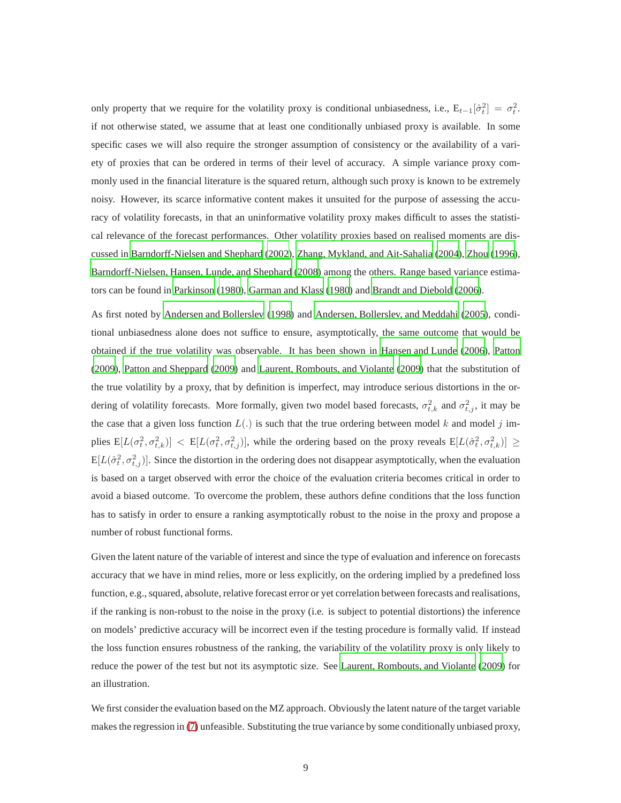only property that we require for the volatility proxy is conditional unbiasedness, i.e.,  $E_{t-1}[\hat{\sigma}_t^2] = \sigma_t^2$ . if not otherwise stated, we assume that at least one conditionally unbiased proxy is available. In some specific cases we will also require the stronger assumption of consistency or the availability of a variety of proxies that can be ordered in terms of their level of accuracy. A simple variance proxy commonly used in the financial literature is the squared return, although such proxy is known to be extremely noisy. However, its scarce informative content makes it unsuited for the purpose of assessing the accuracy of volatility forecasts, in that an uninformative volatility proxy makes difficult to asses the statistical relevance of the forecast performances. Other volatility proxies based on realised moments are discussed in [Barndorff-Nielsen and Shephard](#page-19-6) [\(2002\)](#page-19-6), [Zhang, Mykland, and Ait-Sahalia \(2004\)](#page-22-1), [Zhou \(1996](#page-22-2)), [Barndorff-Nielsen, Hansen, Lunde, and Shephard](#page-19-7) [\(2008\)](#page-19-7) among the others. Range based variance estimators can be found in [Parkinson \(1980](#page-21-9)), [Garman and Klass](#page-20-10) [\(1980\)](#page-20-10) and [Brandt and Diebold](#page-19-8) [\(2006\)](#page-19-8).

As first noted by [Andersen and Bollerslev \(1998\)](#page-19-9) and [Andersen, Bollerslev, and Meddahi \(2005](#page-19-10)), conditional unbiasedness alone does not suffice to ensure, asymptotically, the same outcome that would be obtained if the true volatility was observable. It has been shown in [Hansen and Lunde](#page-20-1) [\(2006\)](#page-20-1), [Patton](#page-21-0) [\(2009\)](#page-21-0), [Patton and Sheppard \(2009\)](#page-21-1) and [Laurent, Rombouts, and Violante](#page-21-2) [\(2009\)](#page-21-2) that the substitution of the true volatility by a proxy, that by definition is imperfect, may introduce serious distortions in the ordering of volatility forecasts. More formally, given two model based forecasts,  $\sigma_{t,k}^2$  and  $\sigma_{t,j}^2$ , it may be the case that a given loss function  $L(.)$  is such that the true ordering between model k and model j implies  $E[L(\sigma_t^2, \sigma_{t,k}^2)] < E[L(\sigma_t^2, \sigma_{t,j}^2)]$ , while the ordering based on the proxy reveals  $E[L(\hat{\sigma}_t^2, \sigma_{t,k}^2)] \ge$  $E[L(\hat{\sigma}_t^2, \sigma_{t,j}^2)]$ . Since the distortion in the ordering does not disappear asymptotically, when the evaluation is based on a target observed with error the choice of the evaluation criteria becomes critical in order to avoid a biased outcome. To overcome the problem, these authors define conditions that the loss function has to satisfy in order to ensure a ranking asymptotically robust to the noise in the proxy and propose a number of robust functional forms.

Given the latent nature of the variable of interest and since the type of evaluation and inference on forecasts accuracy that we have in mind relies, more or less explicitly, on the ordering implied by a predefined loss function, e.g., squared, absolute, relative forecast error or yet correlation between forecasts and realisations, if the ranking is non-robust to the noise in the proxy (i.e. is subject to potential distortions) the inference on models' predictive accuracy will be incorrect even if the testing procedure is formally valid. If instead the loss function ensures robustness of the ranking, the variability of the volatility proxy is only likely to reduce the power of the test but not its asymptotic size. See [Laurent, Rombouts, and Violante \(2009\)](#page-21-2) for an illustration.

We first consider the evaluation based on the MZ approach. Obviously the latent nature of the target variable makes the regression in [\(7\)](#page-3-1) unfeasible. Substituting the true variance by some conditionally unbiased proxy,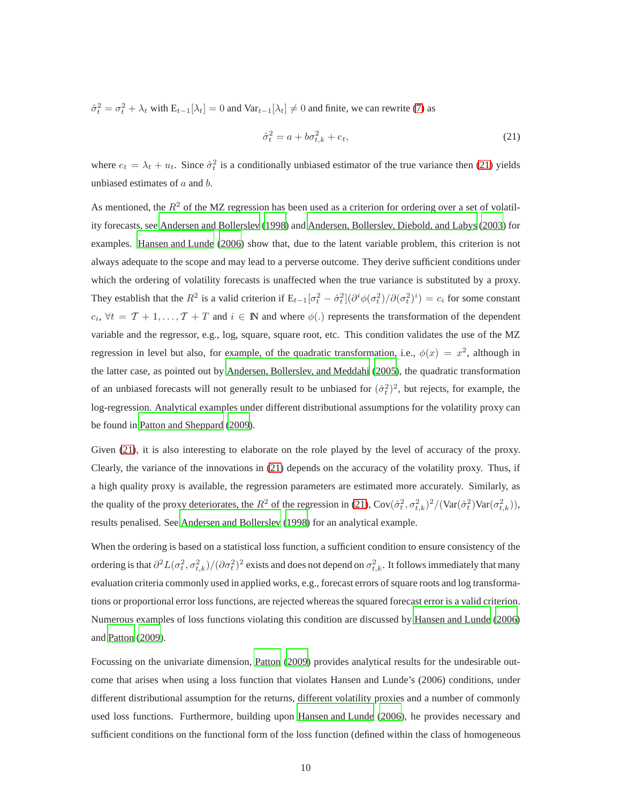$\hat{\sigma}_t^2 = \sigma_t^2 + \lambda_t$  with  $E_{t-1}[\lambda_t] = 0$  and  $Var_{t-1}[\lambda_t] \neq 0$  and finite, we can rewrite [\(7\)](#page-3-1) as

<span id="page-10-0"></span>
$$
\hat{\sigma}_t^2 = a + b\sigma_{t,k}^2 + e_t,\tag{21}
$$

where  $e_t = \lambda_t + u_t$ . Since  $\hat{\sigma}_t^2$  is a conditionally unbiased estimator of the true variance then [\(21\)](#page-10-0) yields unbiased estimates of  $a$  and  $b$ .

As mentioned, the  $R^2$  of the MZ regression has been used as a criterion for ordering over a set of volatility forecasts, see [Andersen and Bollerslev](#page-19-9) [\(1998\)](#page-19-9) and [Andersen, Bollerslev, Diebold, and Labys \(2003\)](#page-19-11) for examples. [Hansen and Lunde](#page-20-1) [\(2006\)](#page-20-1) show that, due to the latent variable problem, this criterion is not always adequate to the scope and may lead to a perverse outcome. They derive sufficient conditions under which the ordering of volatility forecasts is unaffected when the true variance is substituted by a proxy. They establish that the  $R^2$  is a valid criterion if  $E_{t-1}[\sigma_t^2 - \hat{\sigma}_t^2](\partial^i \phi(\sigma_t^2)/\partial(\sigma_t^2)^i) = c_i$  for some constant  $c_i$ ,  $\forall t = T + 1, \ldots, T + T$  and  $i \in \mathbb{N}$  and where  $\phi(.)$  represents the transformation of the dependent variable and the regressor, e.g., log, square, square root, etc. This condition validates the use of the MZ regression in level but also, for example, of the quadratic transformation, i.e.,  $\phi(x) = x^2$ , although in the latter case, as pointed out by [Andersen, Bollerslev, and](#page-19-10) Meddahi [\(2005\)](#page-19-10), the quadratic transformation of an unbiased forecasts will not generally result to be unbiased for  $(\hat{\sigma}_t^2)^2$ , but rejects, for example, the log-regression. Analytical examples under different distributional assumptions for the volatility proxy can be found in [Patton and Sheppard \(2009\)](#page-21-1).

Given [\(21\)](#page-10-0), it is also interesting to elaborate on the role played by the level of accuracy of the proxy. Clearly, the variance of the innovations in [\(21\)](#page-10-0) depends on the accuracy of the volatility proxy. Thus, if a high quality proxy is available, the regression parameters are estimated more accurately. Similarly, as the quality of the proxy deteriorates, the  $R^2$  of the regression in [\(21\)](#page-10-0),  $Cov(\hat{\sigma}_t^2, \sigma_{t,k}^2)^2/(\text{Var}(\hat{\sigma}_t^2) \text{Var}(\sigma_{t,k}^2)),$ results penalised. See [Andersen and Bollerslev](#page-19-9) [\(1998\)](#page-19-9) for an analytical example.

When the ordering is based on a statistical loss function, a sufficient condition to ensure consistency of the ordering is that  $\partial^2 L(\sigma_t^2, \sigma_{t,k}^2)/(\partial \sigma_t^2)^2$  exists and does not depend on  $\sigma_{t,k}^2$ . It follows immediately that many evaluation criteria commonly used in applied works, e.g., forecast errors of square roots and log transformations or proportional error loss functions, are rejected whereas the squared forecast error is a valid criterion. Numerous examples of loss functions violating this condition are discussed by [Hansen and Lunde](#page-20-1) [\(2006\)](#page-20-1) and [Patton \(2009\)](#page-21-0).

Focussing on the univariate dimension, [Patton \(2009](#page-21-0)) provides analytical results for the undesirable outcome that arises when using a loss function that violates Hansen and Lunde's (2006) conditions, under different distributional assumption for the returns, different volatility proxies and a number of commonly used loss functions. Furthermore, building upon [Hansen and](#page-20-1) Lunde [\(2006\)](#page-20-1), he provides necessary and sufficient conditions on the functional form of the loss function (defined within the class of homogeneous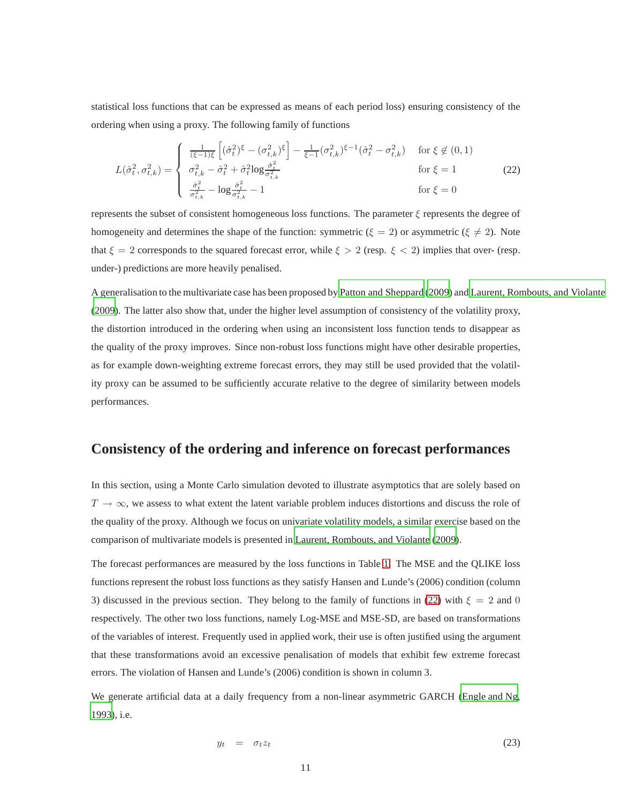statistical loss functions that can be expressed as means of each period loss) ensuring consistency of the ordering when using a proxy. The following family of functions

<span id="page-11-1"></span>
$$
L(\hat{\sigma}_t^2, \sigma_{t,k}^2) = \begin{cases} \frac{1}{(\xi - 1)\xi} \left[ (\hat{\sigma}_t^2)^{\xi} - (\sigma_{t,k}^2)^{\xi} \right] - \frac{1}{\xi - 1} (\sigma_{t,k}^2)^{\xi - 1} (\hat{\sigma}_t^2 - \sigma_{t,k}^2) & \text{for } \xi \notin (0, 1) \\ \sigma_{t,k}^2 - \hat{\sigma}_t^2 + \hat{\sigma}_t^2 \log \frac{\hat{\sigma}_t^2}{\sigma_{t,k}^2} & \text{for } \xi = 1 \\ \frac{\hat{\sigma}_t^2}{\sigma_{t,k}^2} - \log \frac{\hat{\sigma}_t^2}{\sigma_{t,k}^2} - 1 & \text{for } \xi = 0 \end{cases}
$$
(22)

represents the subset of consistent homogeneous loss functions. The parameter  $\xi$  represents the degree of homogeneity and determines the shape of the function: symmetric ( $\xi = 2$ ) or asymmetric ( $\xi \neq 2$ ). Note that  $\xi = 2$  corresponds to the squared forecast error, while  $\xi > 2$  (resp.  $\xi < 2$ ) implies that over- (resp. under-) predictions are more heavily penalised.

A generalisation to the multivariate case has been proposed by [Patton and Sheppard \(2009\)](#page-21-1) and [Laurent, Rombouts, and Violante](#page-21-2) [\(2009\)](#page-21-2). The latter also show that, under the higher level assumption of consistency of the volatility proxy, the distortion introduced in the ordering when using an inconsistent loss function tends to disappear as the quality of the proxy improves. Since non-robust loss functions might have other desirable properties, as for example down-weighting extreme forecast errors, they may still be used provided that the volatility proxy can be assumed to be sufficiently accurate relative to the degree of similarity between models performances.

## <span id="page-11-0"></span>**Consistency of the ordering and inference on forecast performances**

In this section, using a Monte Carlo simulation devoted to illustrate asymptotics that are solely based on  $T \rightarrow \infty$ , we assess to what extent the latent variable problem induces distortions and discuss the role of the quality of the proxy. Although we focus on univariate volatility models, a similar exercise based on the comparison of multivariate models is presented in Laurent, [Rombouts, and Violante](#page-21-2) [\(2009\)](#page-21-2).

The forecast performances are measured by the loss functions in Table [1.](#page-11-0) The MSE and the QLIKE loss functions represent the robust loss functions as they satisfy Hansen and Lunde's (2006) condition (column 3) discussed in the previous section. They belong to the family of functions in [\(22\)](#page-11-1) with  $\xi = 2$  and 0 respectively. The other two loss functions, namely Log-MSE and MSE-SD, are based on transformations of the variables of interest. Frequently used in applied work, their use is often justified using the argument that these transformations avoid an excessive penalisation of models that exhibit few extreme forecast errors. The violation of Hansen and Lunde's (2006) condition is shown in column 3.

We generate artificial data at a daily frequency from a non-linear asymmetric GARCH [\(Engle and Ng,](#page-20-11) [1993\)](#page-20-11), i.e.

<span id="page-11-2"></span>
$$
y_t = \sigma_t z_t \tag{23}
$$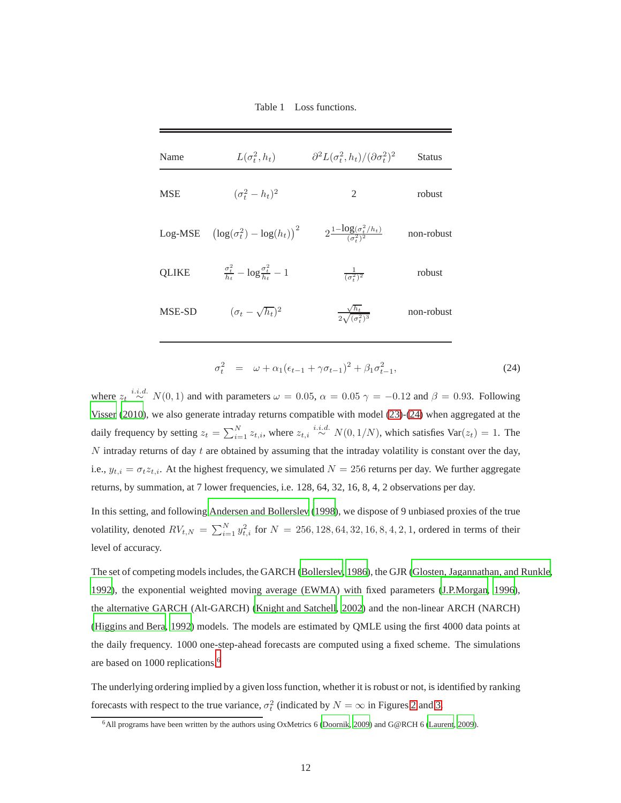| Name         | $L(\sigma_t^2, h_t)$                                       | $\partial^2 L(\sigma_t^2, h_t) / (\partial \sigma_t^2)^2$ | <b>Status</b> |
|--------------|------------------------------------------------------------|-----------------------------------------------------------|---------------|
| <b>MSE</b>   | $({\sigma_{t}^{2}} - h_{t})^{2}$                           | 2                                                         | robust        |
| Log-MSE      | $\left(\log(\sigma_t^2)-\log(h_t)\right)^2$                | $2\frac{1-\log(\sigma_t^2/h_t)}{(\sigma^2)^2}$            | non-robust    |
| <b>QLIKE</b> | $\frac{\sigma_t^2}{h_t} - \log \frac{\sigma_t^2}{h_t} - 1$ | $\frac{1}{(\sigma^2)^2}$                                  | robust        |
| MSE-SD       | $(\sigma_t - \sqrt{h_t})^2$                                | $\frac{\sqrt{h_t}}{2\sqrt{(\sigma_t^2)^3}}$               | non-robust    |

Table 1 Loss functions.

$$
\sigma_t^2 = \omega + \alpha_1 (\epsilon_{t-1} + \gamma \sigma_{t-1})^2 + \beta_1 \sigma_{t-1}^2,
$$
\n(24)

where  $z_t \stackrel{i.i.d.}{\sim} N(0, 1)$  and with parameters  $\omega = 0.05$ ,  $\alpha = 0.05$   $\gamma = -0.12$  and  $\beta = 0.93$ . Following [Visser \(2010\)](#page-21-10), we also generate intraday returns compatible with model [\(23\)](#page-11-2)-[\(24\)](#page-11-2) when aggregated at the daily frequency by setting  $z_t = \sum_{i=1}^{N} z_{t,i}$ , where  $z_{t,i} \stackrel{i.i.d.}{\sim} N(0, 1/N)$ , which satisfies  $\text{Var}(z_t) = 1$ . The  $N$  intraday returns of day  $t$  are obtained by assuming that the intraday volatility is constant over the day, i.e.,  $y_{t,i} = \sigma_t z_{t,i}$ . At the highest frequency, we simulated  $N = 256$  returns per day. We further aggregate returns, by summation, at 7 lower frequencies, i.e. 128, 64, 32, 16, 8, 4, 2 observations per day.

In this setting, and following [Andersen and Bollerslev \(1998\)](#page-19-9), we dispose of 9 unbiased proxies of the true volatility, denoted  $RV_{t,N} = \sum_{i=1}^{N} y_{t,i}^2$  for  $N = 256, 128, 64, 32, 16, 8, 4, 2, 1$ , ordered in terms of their level of accuracy.

The set of competing models includes, the GARCH [\(Bollerslev, 1986](#page-19-2)), the GJR [\(Glosten, Jagannathan, and Runkle,](#page-20-12) [1992\)](#page-20-12), the exponential weighted moving average (EWMA) with fixed parameters [\(J.P.Morgan, 1996](#page-21-11)), the alternative GARCH (Alt-GARCH) [\(Knight and Satchell, 2002](#page-21-12)) and the non-linear ARCH (NARCH) [\(Higgins and Bera](#page-21-13), [1992\)](#page-21-13) models. The models are estimated by QMLE using the first 4000 data points at the daily frequency. 1000 one-step-ahead forecasts are computed using a fixed scheme. The simulations are based on 1000 replications.[6](#page-12-0)

The underlying ordering implied by a given loss function, whether it is robust or not, is identified by ranking forecasts with respect to the true variance,  $\sigma_t^2$  (indicated by  $N = \infty$  in Figures [2](#page-13-0) and [3.](#page-14-0)

<span id="page-12-0"></span><sup>6</sup>All programs have been written by the authors using OxMetrics 6 [\(Doornik, 2009\)](#page-20-13) and G@RCH 6 [\(Laurent](#page-21-14), [2009\)](#page-21-14).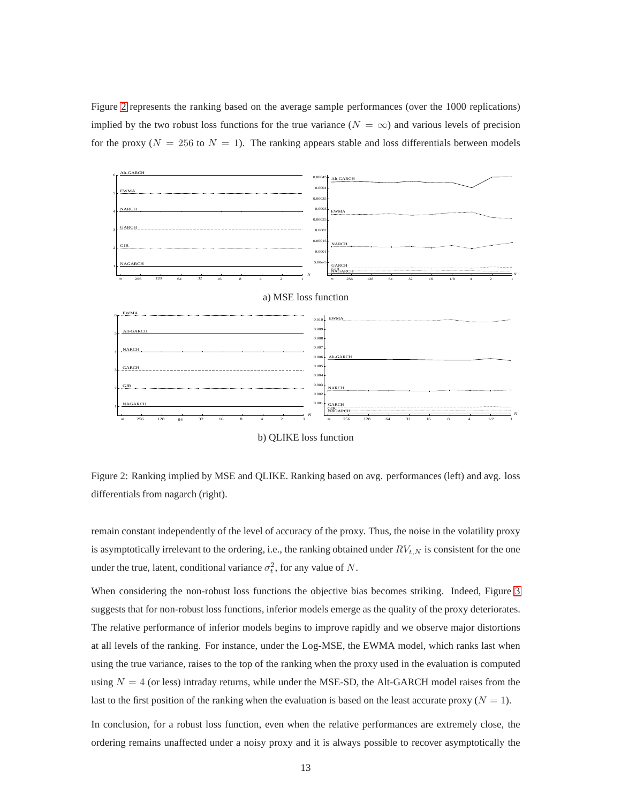Figure [2](#page-13-0) represents the ranking based on the average sample performances (over the 1000 replications) implied by the two robust loss functions for the true variance ( $N = \infty$ ) and various levels of precision for the proxy ( $N = 256$  to  $N = 1$ ). The ranking appears stable and loss differentials between models





<span id="page-13-0"></span>Figure 2: Ranking implied by MSE and QLIKE. Ranking based on avg. performances (left) and avg. loss differentials from nagarch (right).

remain constant independently of the level of accuracy of the proxy. Thus, the noise in the volatility proxy is asymptotically irrelevant to the ordering, i.e., the ranking obtained under  $RV_{t,N}$  is consistent for the one under the true, latent, conditional variance  $\sigma_t^2$ , for any value of N.

When considering the non-robust loss functions the objective bias becomes striking. Indeed, Figure [3](#page-14-0) suggests that for non-robust loss functions, inferior models emerge as the quality of the proxy deteriorates. The relative performance of inferior models begins to improve rapidly and we observe major distortions at all levels of the ranking. For instance, under the Log-MSE, the EWMA model, which ranks last when using the true variance, raises to the top of the ranking when the proxy used in the evaluation is computed using  $N = 4$  (or less) intraday returns, while under the MSE-SD, the Alt-GARCH model raises from the last to the first position of the ranking when the evaluation is based on the least accurate proxy  $(N = 1)$ .

In conclusion, for a robust loss function, even when the relative performances are extremely close, the ordering remains unaffected under a noisy proxy and it is always possible to recover asymptotically the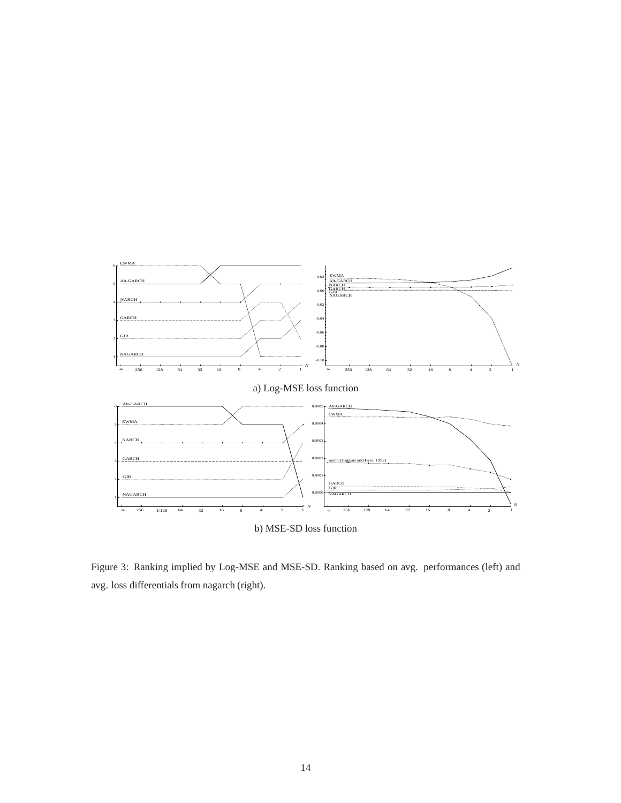

<span id="page-14-0"></span>Figure 3: Ranking implied by Log-MSE and MSE-SD. Ranking based on avg. performances (left) and avg. loss differentials from nagarch (right).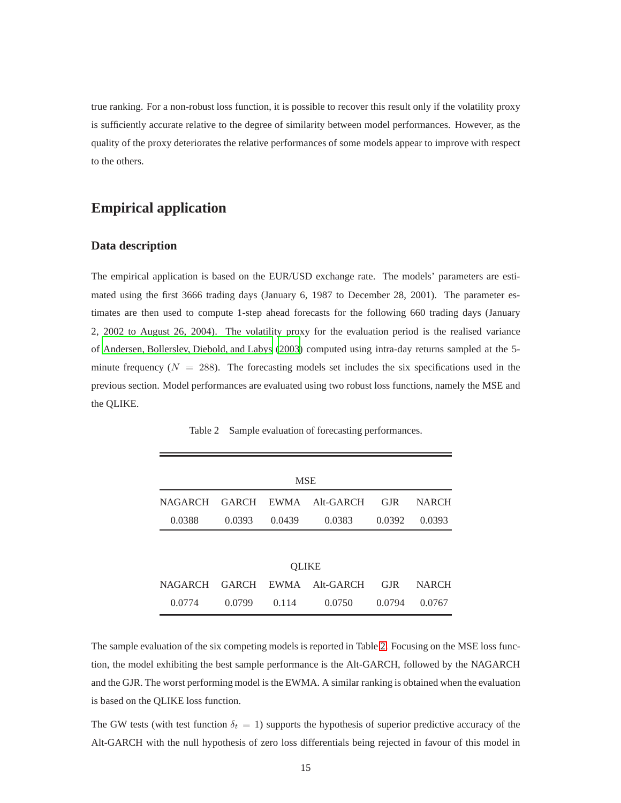true ranking. For a non-robust loss function, it is possible to recover this result only if the volatility proxy is sufficiently accurate relative to the degree of similarity between model performances. However, as the quality of the proxy deteriorates the relative performances of some models appear to improve with respect to the others.

## **Empirical application**

#### <span id="page-15-0"></span>**Data description**

The empirical application is based on the EUR/USD exchange rate. The models' parameters are estimated using the first 3666 trading days (January 6, 1987 to December 28, 2001). The parameter estimates are then used to compute 1-step ahead forecasts for the following 660 trading days (January 2, 2002 to August 26, 2004). The volatility proxy for the evaluation period is the realised variance of [Andersen, Bollerslev, Diebold, and Labys \(2003\)](#page-19-11) computed using intra-day returns sampled at the 5 minute frequency ( $N = 288$ ). The forecasting models set includes the six specifications used in the previous section. Model performances are evaluated using two robust loss functions, namely the MSE and the QLIKE.

| <b>MSE</b>     |              |              |             |            |              |  |  |  |
|----------------|--------------|--------------|-------------|------------|--------------|--|--|--|
| <b>NAGARCH</b> | <b>GARCH</b> | <b>EWMA</b>  | Alt-GARCH   | <b>GJR</b> | <b>NARCH</b> |  |  |  |
| 0.0388         | 0.0393       | 0.0439       | 0.0383      | 0.0392     | 0.0393       |  |  |  |
|                |              |              |             |            |              |  |  |  |
|                |              | <b>QLIKE</b> |             |            |              |  |  |  |
| <b>NAGARCH</b> | <b>GARCH</b> | EWMA         | $Alt-GARCH$ | <b>GJR</b> | <b>NARCH</b> |  |  |  |
| 0.0774         | 0.0799       | 0.114        | 0.0750      | 0.0794     | 0.0767       |  |  |  |

Table 2 Sample evaluation of forecasting performances.

The sample evaluation of the six competing models is reported in Table [2.](#page-15-0) Focusing on the MSE loss function, the model exhibiting the best sample performance is the Alt-GARCH, followed by the NAGARCH and the GJR. The worst performing model is the EWMA. A similar ranking is obtained when the evaluation is based on the QLIKE loss function.

The GW tests (with test function  $\delta_t = 1$ ) supports the hypothesis of superior predictive accuracy of the Alt-GARCH with the null hypothesis of zero loss differentials being rejected in favour of this model in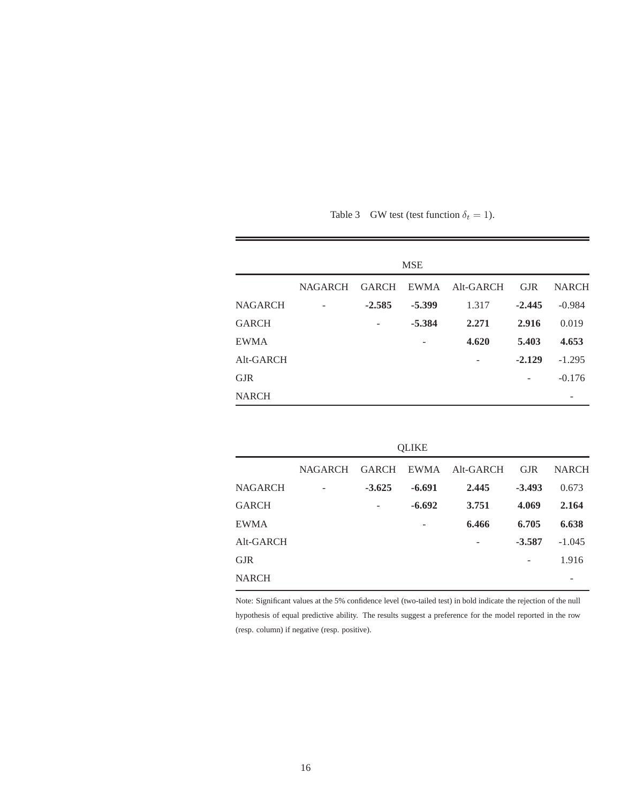|                |                |              | <b>MSE</b> |           |          |              |
|----------------|----------------|--------------|------------|-----------|----------|--------------|
|                | <b>NAGARCH</b> | <b>GARCH</b> | EWMA       | Alt-GARCH | GJR      | <b>NARCH</b> |
| <b>NAGARCH</b> |                | $-2.585$     | $-5.399$   | 1.317     | $-2.445$ | $-0.984$     |
| <b>GARCH</b>   |                |              | $-5.384$   | 2.271     | 2.916    | 0.019        |
| <b>EWMA</b>    |                |              |            | 4.620     | 5.403    | 4.653        |
| Alt-GARCH      |                |              |            |           | $-2.129$ | $-1.295$     |
| GJR            |                |              |            |           | -        | $-0.176$     |
| <b>NARCH</b>   |                |              |            |           |          |              |

Table 3 GW test (test function  $\delta_t = 1$ ).

|                |                |          | <b>QLIKE</b> |                |            |              |
|----------------|----------------|----------|--------------|----------------|------------|--------------|
|                | <b>NAGARCH</b> | GARCH    |              | EWMA Alt-GARCH | <b>GJR</b> | <b>NARCH</b> |
| <b>NAGARCH</b> |                | $-3.625$ | $-6.691$     | 2.445          | $-3.493$   | 0.673        |
| <b>GARCH</b>   |                | ۰        | $-6.692$     | 3.751          | 4.069      | 2.164        |
| <b>EWMA</b>    |                |          |              | 6.466          | 6.705      | 6.638        |
| Alt-GARCH      |                |          |              |                | $-3.587$   | $-1.045$     |
| <b>GJR</b>     |                |          |              |                | -          | 1.916        |
| <b>NARCH</b>   |                |          |              |                |            |              |

Note: Significant values at the 5% confidence level (two-tailed test) in bold indicate the rejection of the null hypothesis of equal predictive ability. The results suggest a preference for the model reported in the row (resp. column) if negative (resp. positive).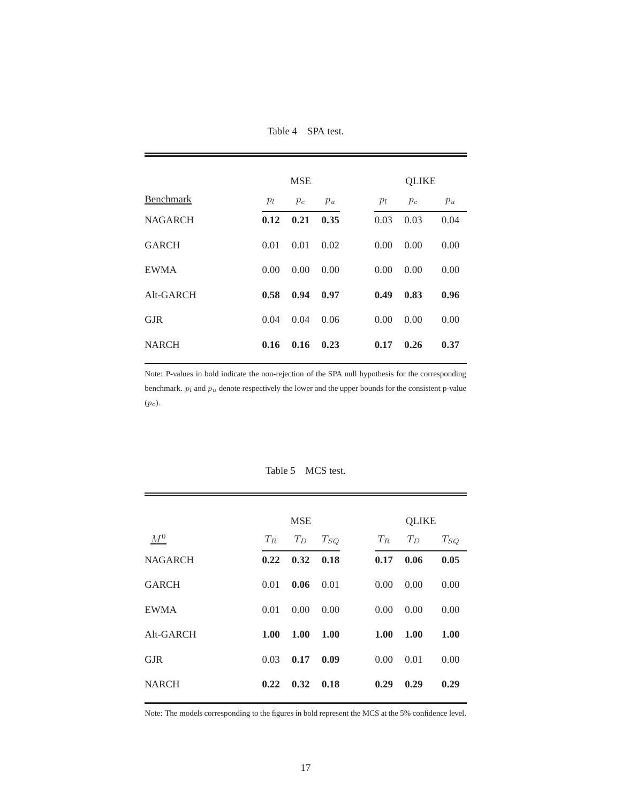Table 4 SPA test.

|                |       | <b>MSE</b> |       |       | <b>QLIKE</b> |       |
|----------------|-------|------------|-------|-------|--------------|-------|
| Benchmark      | $p_l$ | $p_c$      | $p_u$ | $p_l$ | $p_c$        | $p_u$ |
| <b>NAGARCH</b> | 0.12  | 0.21       | 0.35  | 0.03  | 0.03         | 0.04  |
| <b>GARCH</b>   | 0.01  | 0.01       | 0.02  | 0.00  | 0.00         | 0.00  |
| <b>EWMA</b>    | 0.00  | 0.00       | 0.00  | 0.00  | 0.00         | 0.00  |
| Alt-GARCH      | 0.58  | 0.94       | 0.97  | 0.49  | 0.83         | 0.96  |
| GJR            | 0.04  | 0.04       | 0.06  | 0.00  | 0.00         | 0.00  |
| <b>NARCH</b>   | 0.16  | 0.16       | 0.23  | 0.17  | 0.26         | 0.37  |

Note: P-values in bold indicate the non-rejection of the SPA null hypothesis for the corresponding benchmark.  $p_l$  and  $p_u$  denote respectively the lower and the upper bounds for the consistent p-value  $(p_c)$ .

|                | <b>MSE</b> |       |          | <b>QLIKE</b> |       |          |
|----------------|------------|-------|----------|--------------|-------|----------|
| $M^0$          | $T_R$      | $T_D$ | $T_{SQ}$ | $T_R$        | $T_D$ | $T_{SQ}$ |
| <b>NAGARCH</b> | 0.22       | 0.32  | 0.18     | 0.17         | 0.06  | 0.05     |
| <b>GARCH</b>   | 0.01       | 0.06  | 0.01     | 0.00         | 0.00  | 0.00     |
| <b>EWMA</b>    | 0.01       | 0.00  | 0.00     | 0.00         | 0.00  | 0.00     |
| Alt-GARCH      | 1.00       | 1.00  | 1.00     | 1.00         | 1.00  | 1.00     |
| <b>GJR</b>     | 0.03       | 0.17  | 0.09     | 0.00         | 0.01  | 0.00     |
| <b>NARCH</b>   | 0.22       | 0.32  | 0.18     | 0.29         | 0.29  | 0.29     |

Table 5 MCS test.

Note: The models corresponding to the figures in bold represent the MCS at the 5% confidence level.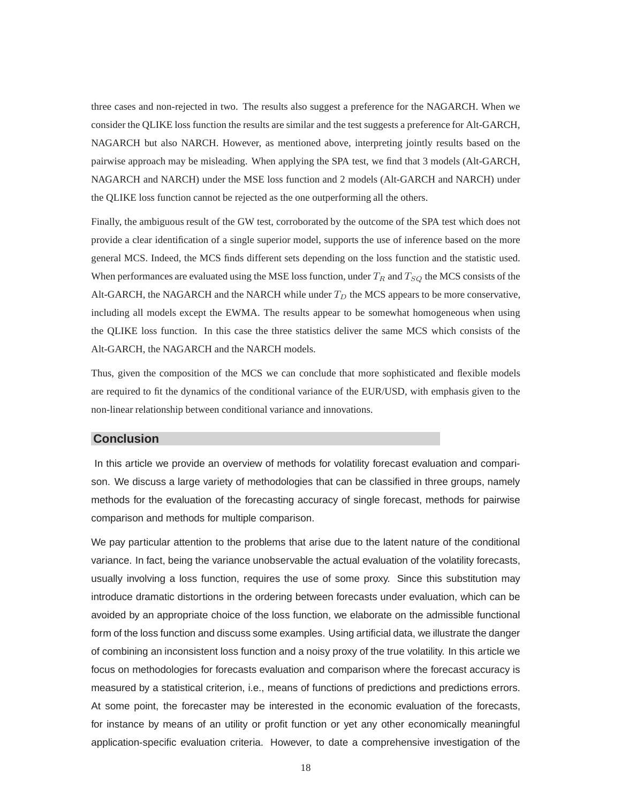three cases and non-rejected in two. The results also suggest a preference for the NAGARCH. When we consider the QLIKE loss function the results are similar and the test suggests a preference for Alt-GARCH, NAGARCH but also NARCH. However, as mentioned above, interpreting jointly results based on the pairwise approach may be misleading. When applying the SPA test, we find that 3 models (Alt-GARCH, NAGARCH and NARCH) under the MSE loss function and 2 models (Alt-GARCH and NARCH) under the QLIKE loss function cannot be rejected as the one outperforming all the others.

Finally, the ambiguous result of the GW test, corroborated by the outcome of the SPA test which does not provide a clear identification of a single superior model, supports the use of inference based on the more general MCS. Indeed, the MCS finds different sets depending on the loss function and the statistic used. When performances are evaluated using the MSE loss function, under  $T_R$  and  $T_{SQ}$  the MCS consists of the Alt-GARCH, the NAGARCH and the NARCH while under  $T_D$  the MCS appears to be more conservative, including all models except the EWMA. The results appear to be somewhat homogeneous when using the QLIKE loss function. In this case the three statistics deliver the same MCS which consists of the Alt-GARCH, the NAGARCH and the NARCH models.

Thus, given the composition of the MCS we can conclude that more sophisticated and flexible models are required to fit the dynamics of the conditional variance of the EUR/USD, with emphasis given to the non-linear relationship between conditional variance and innovations.

#### **Conclusion**

In this article we provide an overview of methods for volatility forecast evaluation and comparison. We discuss a large variety of methodologies that can be classified in three groups, namely methods for the evaluation of the forecasting accuracy of single forecast, methods for pairwise comparison and methods for multiple comparison.

We pay particular attention to the problems that arise due to the latent nature of the conditional variance. In fact, being the variance unobservable the actual evaluation of the volatility forecasts, usually involving a loss function, requires the use of some proxy. Since this substitution may introduce dramatic distortions in the ordering between forecasts under evaluation, which can be avoided by an appropriate choice of the loss function, we elaborate on the admissible functional form of the loss function and discuss some examples. Using artificial data, we illustrate the danger of combining an inconsistent loss function and a noisy proxy of the true volatility. In this article we focus on methodologies for forecasts evaluation and comparison where the forecast accuracy is measured by a statistical criterion, i.e., means of functions of predictions and predictions errors. At some point, the forecaster may be interested in the economic evaluation of the forecasts, for instance by means of an utility or profit function or yet any other economically meaningful application-specific evaluation criteria. However, to date a comprehensive investigation of the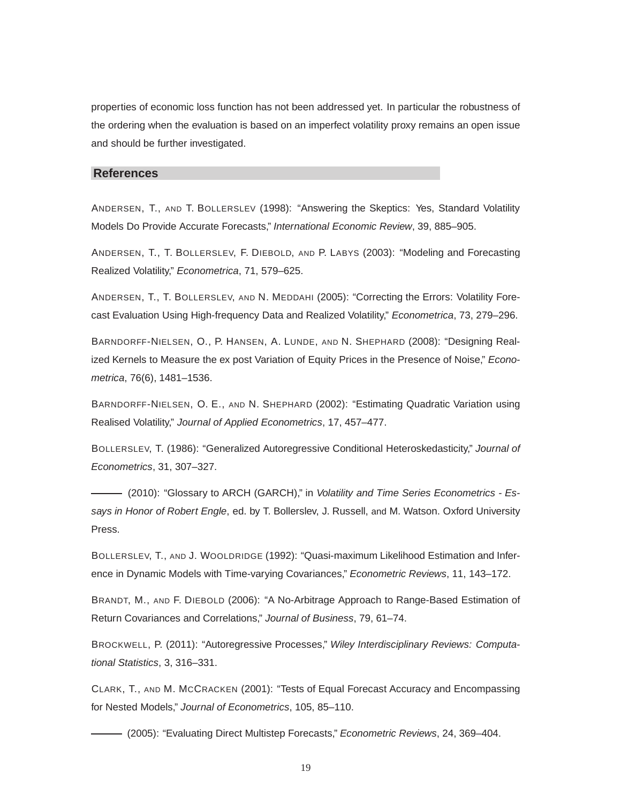properties of economic loss function has not been addressed yet. In particular the robustness of the ordering when the evaluation is based on an imperfect volatility proxy remains an open issue and should be further investigated.

#### **References**

<span id="page-19-9"></span>ANDERSEN, T., AND T. BOLLERSLEV (1998): "Answering the Skeptics: Yes, Standard Volatility Models Do Provide Accurate Forecasts," International Economic Review, 39, 885–905.

<span id="page-19-11"></span>ANDERSEN, T., T. BOLLERSLEV, F. DIEBOLD, AND P. LABYS (2003): "Modeling and Forecasting Realized Volatility," Econometrica, 71, 579–625.

<span id="page-19-10"></span>ANDERSEN, T., T. BOLLERSLEV, AND N. MEDDAHI (2005): "Correcting the Errors: Volatility Forecast Evaluation Using High-frequency Data and Realized Volatility," Econometrica, 73, 279–296.

<span id="page-19-7"></span>BARNDORFF-NIELSEN, O., P. HANSEN, A. LUNDE, AND N. SHEPHARD (2008): "Designing Realized Kernels to Measure the ex post Variation of Equity Prices in the Presence of Noise," Econometrica, 76(6), 1481–1536.

<span id="page-19-6"></span>BARNDORFF-NIELSEN, O. E., AND N. SHEPHARD (2002): "Estimating Quadratic Variation using Realised Volatility," Journal of Applied Econometrics, 17, 457–477.

<span id="page-19-2"></span>BOLLERSLEV, T. (1986): "Generalized Autoregressive Conditional Heteroskedasticity," Journal of Econometrics, 31, 307–327.

<span id="page-19-1"></span>- (2010): "Glossary to ARCH (GARCH)," in Volatility and Time Series Econometrics - Essays in Honor of Robert Engle, ed. by T. Bollerslev, J. Russell, and M. Watson. Oxford University Press.

<span id="page-19-3"></span>BOLLERSLEV, T., AND J. WOOLDRIDGE (1992): "Quasi-maximum Likelihood Estimation and Inference in Dynamic Models with Time-varying Covariances," Econometric Reviews, 11, 143-172.

<span id="page-19-8"></span>BRANDT, M., AND F. DIEBOLD (2006): "A No-Arbitrage Approach to Range-Based Estimation of Return Covariances and Correlations," Journal of Business, 79, 61–74.

<span id="page-19-0"></span>BROCKWELL, P. (2011): "Autoregressive Processes," Wiley Interdisciplinary Reviews: Computational Statistics, 3, 316–331.

<span id="page-19-5"></span><span id="page-19-4"></span>CLARK, T., AND M. MCCRACKEN (2001): "Tests of Equal Forecast Accuracy and Encompassing for Nested Models," Journal of Econometrics, 105, 85-110.

(2005): "Evaluating Direct Multistep Forecasts," Econometric Reviews, 24, 369–404.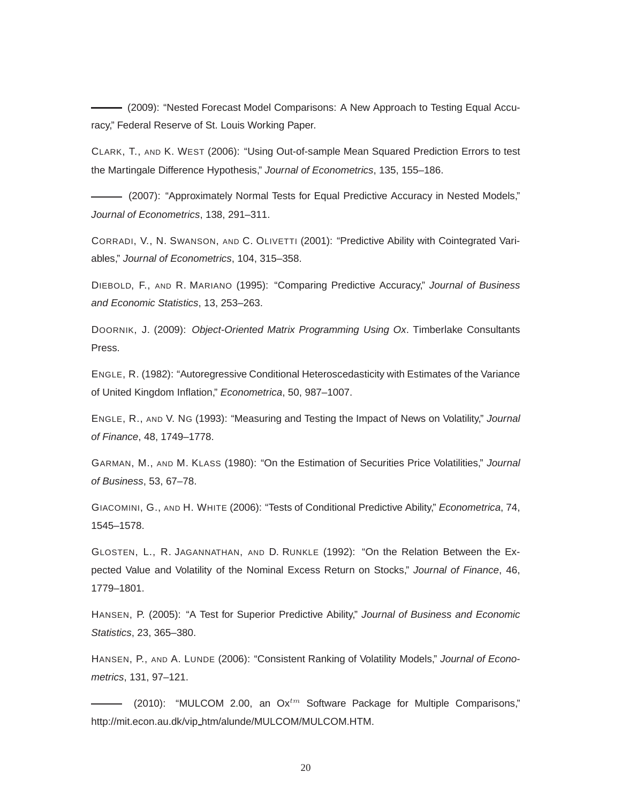<span id="page-20-6"></span>(2009): "Nested Forecast Model Comparisons: A New Approach to Testing Equal Accuracy," Federal Reserve of St. Louis Working Paper.

<span id="page-20-4"></span>CLARK, T., AND K. WEST (2006): "Using Out-of-sample Mean Squared Prediction Errors to test the Martingale Difference Hypothesis," Journal of Econometrics, 135, 155–186.

<span id="page-20-5"></span>(2007): "Approximately Normal Tests for Equal Predictive Accuracy in Nested Models," Journal of Econometrics, 138, 291–311.

<span id="page-20-3"></span>CORRADI, V., N. SWANSON, AND C. OLIVETTI (2001): "Predictive Ability with Cointegrated Variables," Journal of Econometrics, 104, 315–358.

<span id="page-20-2"></span>DIEBOLD, F., AND R. MARIANO (1995): "Comparing Predictive Accuracy," Journal of Business and Economic Statistics, 13, 253–263.

<span id="page-20-13"></span>DOORNIK, J. (2009): Object-Oriented Matrix Programming Using Ox. Timberlake Consultants Press.

<span id="page-20-0"></span>ENGLE, R. (1982): "Autoregressive Conditional Heteroscedasticity with Estimates of the Variance of United Kingdom Inflation," Econometrica, 50, 987-1007.

<span id="page-20-11"></span>ENGLE, R., AND V. NG (1993): "Measuring and Testing the Impact of News on Volatility," Journal of Finance, 48, 1749–1778.

<span id="page-20-10"></span>GARMAN, M., AND M. KLASS (1980): "On the Estimation of Securities Price Volatilities," Journal of Business, 53, 67–78.

<span id="page-20-7"></span>GIACOMINI, G., AND H. WHITE (2006): "Tests of Conditional Predictive Ability," Econometrica, 74, 1545–1578.

<span id="page-20-12"></span>GLOSTEN, L., R. JAGANNATHAN, AND D. RUNKLE (1992): "On the Relation Between the Expected Value and Volatility of the Nominal Excess Return on Stocks," Journal of Finance, 46, 1779–1801.

<span id="page-20-8"></span>HANSEN, P. (2005): "A Test for Superior Predictive Ability," Journal of Business and Economic Statistics, 23, 365–380.

<span id="page-20-1"></span>HANSEN, P., AND A. LUNDE (2006): "Consistent Ranking of Volatility Models," Journal of Econometrics, 131, 97–121.

<span id="page-20-9"></span> $-$  (2010): "MULCOM 2.00, an  $Ox^{tm}$  Software Package for Multiple Comparisons," http://mit.econ.au.dk/vip htm/alunde/MULCOM/MULCOM.HTM.

20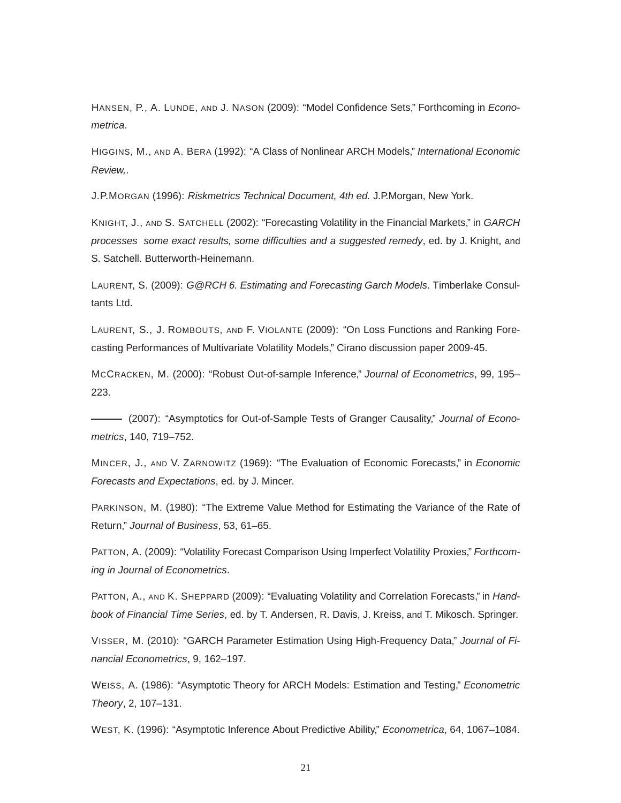<span id="page-21-8"></span>HANSEN, P., A. LUNDE, AND J. NASON (2009): "Model Confidence Sets," Forthcoming in *Econo*metrica.

<span id="page-21-13"></span>HIGGINS, M., AND A. BERA (1992): "A Class of Nonlinear ARCH Models," International Economic Review,.

<span id="page-21-11"></span>J.P.MORGAN (1996): Riskmetrics Technical Document, 4th ed. J.P.Morgan, New York.

<span id="page-21-12"></span>KNIGHT, J., AND S. SATCHELL (2002): "Forecasting Volatility in the Financial Markets," in GARCH processes some exact results, some difficulties and a suggested remedy, ed. by J. Knight, and S. Satchell. Butterworth-Heinemann.

<span id="page-21-14"></span>LAURENT, S. (2009): G @RCH 6. Estimating and Forecasting Garch Models. Timberlake Consultants Ltd.

<span id="page-21-2"></span>LAURENT, S., J. ROMBOUTS, AND F. VIOLANTE (2009): "On Loss Functions and Ranking Forecasting Performances of Multivariate Volatility Models," Cirano discussion paper 2009-45.

<span id="page-21-6"></span>MCCRACKEN, M. (2000): "Robust Out-of-sample Inference," Journal of Econometrics, 99, 195– 223.

<span id="page-21-7"></span>- (2007): "Asymptotics for Out-of-Sample Tests of Granger Causality," Journal of Econometrics, 140, 719–752.

<span id="page-21-4"></span>MINCER, J., AND V. ZARNOWITZ (1969): "The Evaluation of Economic Forecasts," in Economic Forecasts and Expectations, ed. by J. Mincer.

<span id="page-21-9"></span>PARKINSON, M. (1980): "The Extreme Value Method for Estimating the Variance of the Rate of Return," Journal of Business, 53, 61–65.

<span id="page-21-0"></span>PATTON, A. (2009): "Volatility Forecast Comparison Using Imperfect Volatility Proxies," Forthcoming in Journal of Econometrics.

<span id="page-21-1"></span>PATTON, A., AND K. SHEPPARD (2009): "Evaluating Volatility and Correlation Forecasts," in Handbook of Financial Time Series, ed. by T. Andersen, R. Davis, J. Kreiss, and T. Mikosch. Springer.

<span id="page-21-10"></span>VISSER, M. (2010): "GARCH Parameter Estimation Using High-Frequency Data," Journal of Financial Econometrics, 9, 162–197.

<span id="page-21-3"></span>WEISS, A. (1986): "Asymptotic Theory for ARCH Models: Estimation and Testing," Econometric Theory, 2, 107–131.

<span id="page-21-5"></span>WEST, K. (1996): "Asymptotic Inference About Predictive Ability," Econometrica, 64, 1067-1084.